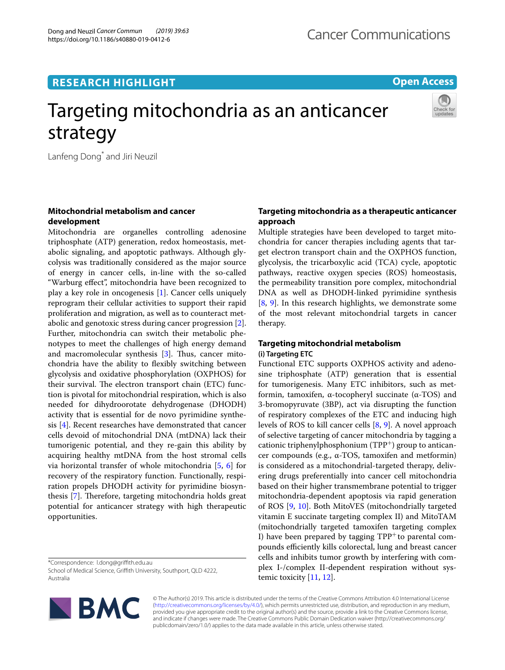**RESEARCH HIGHLIGHT**

# **Open Access**

# Targeting mitochondria as an anticancer strategy



Lanfeng Dong<sup>\*</sup> and Jiri Neuzil

# **Mitochondrial metabolism and cancer development**

Mitochondria are organelles controlling adenosine triphosphate (ATP) generation, redox homeostasis, metabolic signaling, and apoptotic pathways. Although glycolysis was traditionally considered as the major source of energy in cancer cells, in-line with the so-called "Warburg efect", mitochondria have been recognized to play a key role in oncogenesis [\[1\]](#page-2-0). Cancer cells uniquely reprogram their cellular activities to support their rapid proliferation and migration, as well as to counteract metabolic and genotoxic stress during cancer progression [\[2](#page-2-1)]. Further, mitochondria can switch their metabolic phenotypes to meet the challenges of high energy demand and macromolecular synthesis  $[3]$  $[3]$ . Thus, cancer mitochondria have the ability to fexibly switching between glycolysis and oxidative phosphorylation (OXPHOS) for their survival. The electron transport chain (ETC) function is pivotal for mitochondrial respiration, which is also needed for dihydroorotate dehydrogenase (DHODH) activity that is essential for de novo pyrimidine synthesis [\[4\]](#page-2-3). Recent researches have demonstrated that cancer cells devoid of mitochondrial DNA (mtDNA) lack their tumorigenic potential, and they re-gain this ability by acquiring healthy mtDNA from the host stromal cells via horizontal transfer of whole mitochondria [\[5](#page-2-4), [6\]](#page-2-5) for recovery of the respiratory function. Functionally, respiration propels DHODH activity for pyrimidine biosyn-thesis [\[7](#page-2-6)]. Therefore, targeting mitochondria holds great potential for anticancer strategy with high therapeutic opportunities.

School of Medical Science, Grifth University, Southport, QLD 4222, Australia



# **Targeting mitochondria as a therapeutic anticancer approach**

Multiple strategies have been developed to target mitochondria for cancer therapies including agents that target electron transport chain and the OXPHOS function, glycolysis, the tricarboxylic acid (TCA) cycle, apoptotic pathways, reactive oxygen species (ROS) homeostasis, the permeability transition pore complex, mitochondrial DNA as well as DHODH-linked pyrimidine synthesis [[8,](#page-2-7) [9](#page-2-8)]. In this research highlights, we demonstrate some of the most relevant mitochondrial targets in cancer therapy.

# **Targeting mitochondrial metabolism (i) Targeting ETC**

Functional ETC supports OXPHOS activity and adenosine triphosphate (ATP) generation that is essential for tumorigenesis. Many ETC inhibitors, such as metformin, tamoxifen, α-tocopheryl succinate (α-TOS) and 3-bromopyruvate (3BP), act via disrupting the function of respiratory complexes of the ETC and inducing high levels of ROS to kill cancer cells [[8,](#page-2-7) [9\]](#page-2-8). A novel approach of selective targeting of cancer mitochondria by tagging a cationic triphenylphosphonium ( $TPP^{+}$ ) group to anticancer compounds (e.g., α-TOS, tamoxifen and metformin) is considered as a mitochondrial-targeted therapy, delivering drugs preferentially into cancer cell mitochondria based on their higher transmembrane potential to trigger mitochondria-dependent apoptosis via rapid generation of ROS [\[9](#page-2-8), [10](#page-2-9)]. Both MitoVES (mitochondrially targeted vitamin E succinate targeting complex II) and MitoTAM (mitochondrially targeted tamoxifen targeting complex I) have been prepared by tagging  $TPP<sup>+</sup>$  to parental compounds efficiently kills colorectal, lung and breast cancer cells and inhibits tumor growth by interfering with complex I-/complex II-dependent respiration without systemic toxicity  $[11, 12]$  $[11, 12]$  $[11, 12]$  $[11, 12]$ .

© The Author(s) 2019. This article is distributed under the terms of the Creative Commons Attribution 4.0 International License [\(http://creativecommons.org/licenses/by/4.0/\)](http://creativecommons.org/licenses/by/4.0/), which permits unrestricted use, distribution, and reproduction in any medium, provided you give appropriate credit to the original author(s) and the source, provide a link to the Creative Commons license, and indicate if changes were made. The Creative Commons Public Domain Dedication waiver (http://creativecommons.org/ publicdomain/zero/1.0/) applies to the data made available in this article, unless otherwise stated.

<sup>\*</sup>Correspondence: l.dong@grifth.edu.au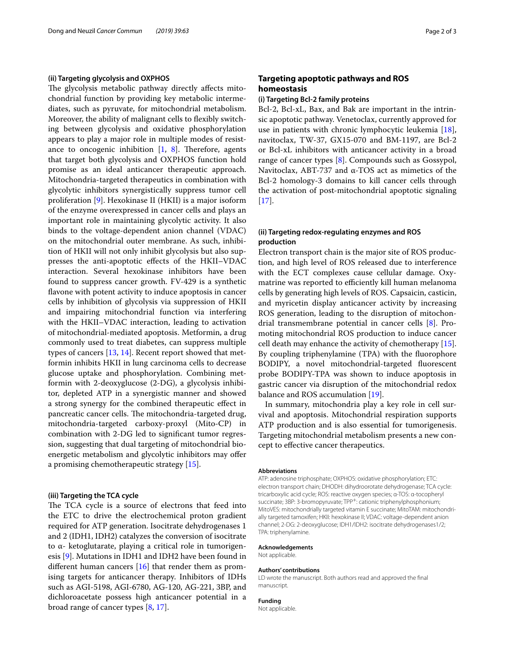#### **(ii) Targeting glycolysis and OXPHOS**

The glycolysis metabolic pathway directly affects mitochondrial function by providing key metabolic intermediates, such as pyruvate, for mitochondrial metabolism. Moreover, the ability of malignant cells to fexibly switching between glycolysis and oxidative phosphorylation appears to play a major role in multiple modes of resistance to oncogenic inhibition  $[1, 8]$  $[1, 8]$  $[1, 8]$  $[1, 8]$ . Therefore, agents that target both glycolysis and OXPHOS function hold promise as an ideal anticancer therapeutic approach. Mitochondria-targeted therapeutics in combination with glycolytic inhibitors synergistically suppress tumor cell proliferation [[9\]](#page-2-8). Hexokinase II (HKII) is a major isoform of the enzyme overexpressed in cancer cells and plays an important role in maintaining glycolytic activity. It also binds to the voltage-dependent anion channel (VDAC) on the mitochondrial outer membrane. As such, inhibition of HKII will not only inhibit glycolysis but also suppresses the anti-apoptotic efects of the HKII–VDAC interaction. Several hexokinase inhibitors have been found to suppress cancer growth. FV-429 is a synthetic flavone with potent activity to induce apoptosis in cancer cells by inhibition of glycolysis via suppression of HKII and impairing mitochondrial function via interfering with the HKII–VDAC interaction, leading to activation of mitochondrial-mediated apoptosis. Metformin, a drug commonly used to treat diabetes, can suppress multiple types of cancers [[13,](#page-2-12) [14](#page-2-13)]. Recent report showed that metformin inhibits HKII in lung carcinoma cells to decrease glucose uptake and phosphorylation. Combining metformin with 2-deoxyglucose (2-DG), a glycolysis inhibitor, depleted ATP in a synergistic manner and showed a strong synergy for the combined therapeutic efect in pancreatic cancer cells. The mitochondria-targeted drug, mitochondria-targeted carboxy-proxyl (Mito-CP) in combination with 2-DG led to signifcant tumor regression, suggesting that dual targeting of mitochondrial bioenergetic metabolism and glycolytic inhibitors may ofer a promising chemotherapeutic strategy [[15\]](#page-2-14).

## **(iii) Targeting the TCA cycle**

The TCA cycle is a source of electrons that feed into the ETC to drive the electrochemical proton gradient required for ATP generation. Isocitrate dehydrogenases 1 and 2 (IDH1, IDH2) catalyzes the conversion of isocitrate to α- ketoglutarate, playing a critical role in tumorigenesis [\[9\]](#page-2-8). Mutations in IDH1 and IDH2 have been found in different human cancers  $[16]$  $[16]$  that render them as promising targets for anticancer therapy. Inhibitors of IDHs such as AGI-5198, AGI-6780, AG-120, AG-221, 3BP, and dichloroacetate possess high anticancer potential in a broad range of cancer types [[8,](#page-2-7) [17](#page-2-16)].

# **Targeting apoptotic pathways and ROS homeostasis**

## **(i) Targeting Bcl‑2 family proteins**

Bcl-2, Bcl-xL, Bax, and Bak are important in the intrinsic apoptotic pathway. Venetoclax, currently approved for use in patients with chronic lymphocytic leukemia [\[18](#page-2-17)], navitoclax, TW-37, GX15-070 and BM-1197, are Bcl-2 or Bcl-xL inhibitors with anticancer activity in a broad range of cancer types [[8\]](#page-2-7). Compounds such as Gossypol, Navitoclax, ABT-737 and α-TOS act as mimetics of the Bcl-2 homology-3 domains to kill cancer cells through the activation of post-mitochondrial apoptotic signaling  $[17]$  $[17]$ .

## **(ii) Targeting redox‑regulating enzymes and ROS production**

Electron transport chain is the major site of ROS production, and high level of ROS released due to interference with the ECT complexes cause cellular damage. Oxymatrine was reported to efficiently kill human melanoma cells by generating high levels of ROS. Capsaicin, casticin, and myricetin display anticancer activity by increasing ROS generation, leading to the disruption of mitochondrial transmembrane potential in cancer cells [\[8\]](#page-2-7). Promoting mitochondrial ROS production to induce cancer cell death may enhance the activity of chemotherapy [\[15](#page-2-14)]. By coupling triphenylamine (TPA) with the fuorophore BODIPY, a novel mitochondrial-targeted fuorescent probe BODIPY-TPA was shown to induce apoptosis in gastric cancer via disruption of the mitochondrial redox balance and ROS accumulation [[19\]](#page-2-18).

In summary, mitochondria play a key role in cell survival and apoptosis. Mitochondrial respiration supports ATP production and is also essential for tumorigenesis. Targeting mitochondrial metabolism presents a new concept to efective cancer therapeutics.

#### **Abbreviations**

ATP: adenosine triphosphate; OXPHOS: oxidative phosphorylation; ETC: electron transport chain; DHODH: dihydroorotate dehydrogenase; TCA cycle: tricarboxylic acid cycle; ROS: reactive oxygen species; α-TOS: α-tocopheryl succinate; 3BP: 3-bromopyruvate; TPP<sup>+</sup>: cationic triphenylphosphonium; MitoVES: mitochondrially targeted vitamin E succinate; MitoTAM: mitochondrially targeted tamoxifen; HKII: hexokinase II; VDAC: voltage-dependent anion channel; 2-DG: 2-deoxyglucose; IDH1/IDH2: isocitrate dehydrogenases1/2; TPA: triphenylamine.

## **Acknowledgements**

Not applicable.

#### **Authors' contributions**

LD wrote the manuscript. Both authors read and approved the fnal manuscript.

#### **Funding**

Not applicable.